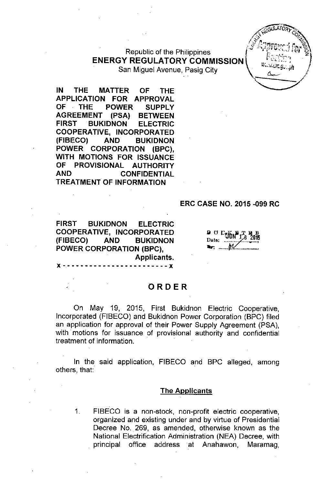# Republic of the Philippines ENERGY REGULATORY COMMISSION

San Miguel Avenue, Paslg City . C>...--9 ,,~11 .' --

IN THE MATTER OF THE APPLICATION FOR APPROVAL OF THE POWER SUPPLY AGREEMENT (PSA) BETWEEN FIRST BUKIDNON ELECTRIC COOPERATIVE, INCORPORATED (FIBECO) AND BUKIDNON POWER CORPORATION (BPC), WITH MOTIONS FOR ISSUANCE OF PROVISIONAL AUTHORITY AND CONFIDENTIAL **TREATMENT OF INFORMATION** 

#### ERC CASE NO. 2015 -099 RC

 $J_0$ ULA) $O_3$ *Av BULKITORY* 

-

 $x^2$ ,  $x^3$  $\mathbb{Z}^n$ . Indeed,  $\mathbb{Z}^n$  $\mathscr{F}$  *k*??moved for  $\mathscr{D}$ 

 $\leq$ 

FIRST BUKIDNON ELECTRIC COOPERATIVE, INCORPORATED (FIBECO) AND BUKIDNON POWER CORPORATION (BPC), Applicants.

 $D$   $U$   $U_{\text{F}}$ .." -----.1/1./..----..--

# ORDER

 $\cdot$  - - - - - -  $\mathbf x$ 

On May 19, 2015, First Bukidnon Electric Cooperative, Incorporated (FIBECO) and Bukidnon Power Corporation (BPC) filed an application for approval of their Power Supply Agreement (PSA), with motions for issuance of provisional authority and confidential treatment of information.

In the said application, FIBECO and BPC alleged, among others, that:

#### The Applicants

1\_ FIBECO is a non-stock, non-profit electric cooperative, organized and existing under and by virtue of Presidential Decree No. 269, as amended, otherwise known as the National Electrification Administration (NEA) Decree, with principal office address at Anahawon, Maramag,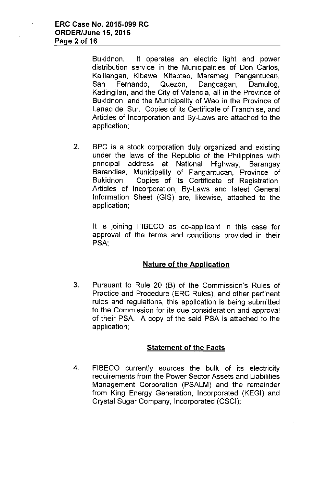Bukidnon. It operates an electric light and power distribution service in the Municipalities of Don Carlos, Kalilangan, Kibawe, Kitaotao, Maramag, Pangantucan, San Fernando, Quezon, Dangcagan, Damulog, Kadingilan, and the City of Valencia, all in the Province of Bukidnon, and the Municipality of Wao in the Province of Lanao del Sur. Copies of its Certificate of Franchise, and Articles of Incorporation and By-Laws are attached to the application;

2. BPC is a stock corporation duly organized and existing under the laws of the Republic of the Philippines with principal address at National Highway, Barangay Barandias, Municipality of Pangantucan, Province of Bukidnon. Copies of its Certificate of Registration, Articles of Incorporation, By-Laws and latest General Information Sheet (GIS) are, likewise, attached to the application;

It is joining FIBECO as co-applicant in this case for approval of the terms and conditions provided in their PSA,

## Nature of the Application

3. Pursuant to Rule 20 (B) of the Commission's Rules of Practice and Procedure (ERC Rules), and other pertinent rules and regulations, this application is being submitted to the Commission for its due consideration and approval of their PSA. A copy of the said PSA is attached to the application;

## Statement of the Facts

4. FIBECO currently sources the bulk of its electricity requirements from the Power Sector Assets and Liabilities Management Corporation (PSALM) and the remainder from King Energy Generation, Incorporated (KEGI) and Crystal Sugar Company, Incorporated (CSCI);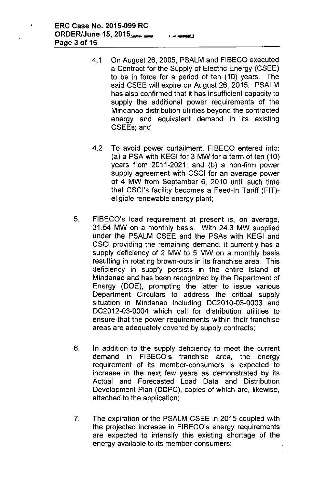- 4.1 On August 26, 2005, PSALM and FIBECO executed a Contract for the Supply of Electric Energy (CSEE) to be in force for a period of ten (10) years. The said CSEE will expire on August 26, 2015. PSALM has also confirmed that it has insufficient capacity to supply the additional power requirements of the Mindanao distribution utilities beyond the contracted energy and equivalent demand in its existing CSEEs; and
- 4.2 To avoid power curtailment, FIBECO entered into: (a) a PSA with KEGI for 3 MW for a term of ten (10) years from 2011-2021; and (b) a non-firm power supply agreement with CSCI for an average power of 4 MW from September 6, 2010 until such time that CSCl's facility becomes a Feed-In Tariff (FIT) eligible renewable energy plant;
- 5. FIBECO's load requirement at present is, on average, 31.54 MW on a monthly basis. With 24.3 MW supplied under the PSALM CSEE and the PSAs with KEGI and CSCI providing the remaining demand, it currently has a supply deficiency of 2 MW to 5 MW on a monthly basis resulting in rotating brown-outs in its franchise area. This deficiency in supply persists in the entire Island of Mindanao and has been recognized by the Department of Energy (DOE), prompting the latter to issue various Department Circulars to address the critical supply situation in Mindanao including DC2010-03-0003 and DC2012-03-0004 which call for distribution utilities to ensure that the power requirements within their franchise areas are adequately covered by supply contracts;
- 6. In addition to the supply deficiency to meet the current demand in FIBECO's franchise area, the energy requirement of its member-consumers is expected to increase in the next few years as demonstrated by its Actual and Forecasted Load Data and Distribution Development Plan (DDPC), copies of which are, likewise, attached to the application;
- 7. The expiration of the PSALM CSEE in 2015 coupled with the projected increase in FIBECO's energy requirements are expected to intensify this existing shortage of the energy available to its member-consumers;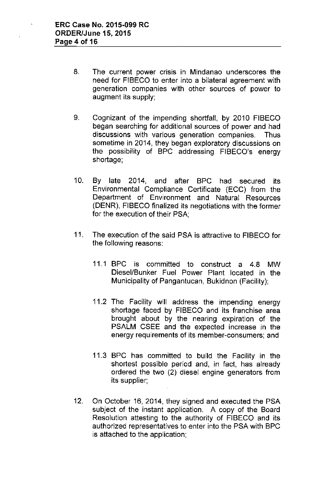- 8. The current power crisis in Mindanao underscores the need for FIBECO to enter into a bilateral agreement with generation companies with other sources of power to augment its supply;
- 9. Cognizant of the impending shortfall, by 2010 FIBECO began searching for additional sources of power and had discussions with various generation companies. Thus sometime in 2014, they began exploratory discussions on the possibility of BPC addressing FIBECO's energy shortage;
- 10. By late 2014, and after BPC had secured its Environmental Compliance Certificate (ECC) from the Department of Environment and Natural Resources (DENR), FIBECO finalized its negotiations with the former for the execution of their PSA;
- 11. The execution of the said PSA is attractive to FIBECO for the following reasons:
	- 11.1 BPC is committed to construct a 4.8 MW Diesel/Bunker Fuel Power Plant located in the Municipality of Pangantucan, Bukidnon (Facility);
	- 11.2 The Facility will address the impending energy shortage faced by FIBECO and its franchise area brought about by the nearing expiration of the PSALM CSEE and the expected increase in the energy requirements of its member-consumers; and
	- 11.3 BPC has committed to build the Facility in the shortest possible period and, in fact, has already ordered the two (2) diesel engine generators from its supplier;
- 12. On October 16, 2014, they signed and executed the PSA subject of the instant application. A copy of the Board Resolution attesting to the authority of FIBECO and its authorized representatives to enter into the PSA with BPC is attached to the application;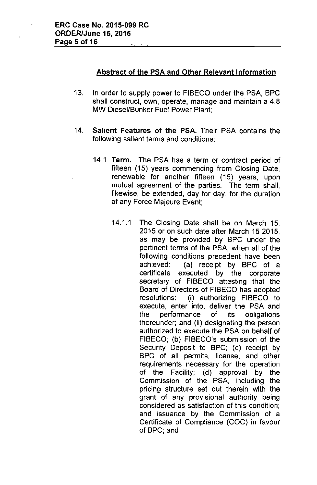### Abstract of the PSA and Other Relevant Information

- 13. In order to supply power to FIBECO under the PSA, BPC shall construct, own, operate, manage and maintain a 4.8 MW Diesel/Bunker Fuel Power Plant;
- 14. Salient Features of the PSA. Their PSA contains the following salient terms and conditions:
	- 14.1 Term. The PSA has a term or contract period of fifteen (15) years commencing from Closing Date, renewable for another fifteen (15) years, upon mutual agreement of the parties. The term shall, likewise, be extended, day for day, for the duration of any Force Majeure Event;
		- 14.1.1 The Closing Date shall be on March 15, 2015 or on such date after March 15 2015, as may be provided by BPC under the pertinent terms of the PSA, when all of the following conditions precedent have been achieved: (a) receipt by BPC of a certificate executed by the corporate secretary of FIBECO attesting that the Board of Directors of FIBECO has adopted resolutions: (i) authorizing FIBECO to execute, enter into, deliver the PSA and the performance of its obligations thereunder; and (ii) designating the person authorized to execute the PSA on behalf of FIBECO; (b) FIBECO's submission of the Security Deposit to BPC; (c) receipt by BPC of all permits, license, and other requirements necessary for the operation of the Facility; (d) approval by the Commission of the PSA, including the pricing structure set out therein with the grant of any provisional authority being considered as satisfaction of this condition; and issuance by the Commission of a Certificate of Compliance (COC) in favour of BPC; and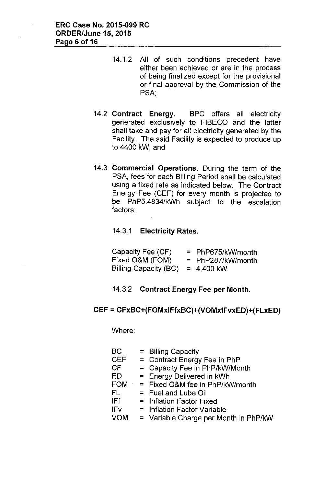- 14.1.2 All of such conditions precedent have either been achieved or are in the process of being finalized except for the provisional or final approval by the Commission of the PSA:
- 14.2 Contract Energy. BPC offers all electricity generated exclusively to FIBECO and the latter shall take and pay for all electricity generated by the Facility. The said Facility is expected to produce up to 4400 kW; and
- 14.3 Commercial Operations. During the term of the PSA, fees for each Billing Period shall be calculated using a fixed rate as indicated below. The Contract Energy Fee (CEF) for every month is projected to be PhP5,4834/kWh subject to the escalation factors:

14.3.1 Electricity Rates.

| Capacity Fee (CF)     | $=$ PhP675/kW/month |
|-----------------------|---------------------|
| Fixed O&M (FOM)       | $=$ PhP287/kW/month |
| Billing Capacity (BC) | $= 4.400$ kW        |

### 14.3.2 Contract Energy Fee per Month.

### CEF = CFxBC+(FOMxIFfxBC)+(VOMxIFvxED)+(FLxED)

Where:

| $=$ Billing Capacity                  |
|---------------------------------------|
| = Contract Energy Fee in PhP          |
| = Capacity Fee in PhP/kW/Month        |
| = Energy Delivered in kWh             |
| $FOM = Fixed O&M$ fee in PhP/kW/month |
| $=$ Fuel and Lube Oil                 |
| = Inflation Factor Fixed              |
| $=$ Inflation Factor Variable         |
| = Variable Charge per Month in PhP/kW |
|                                       |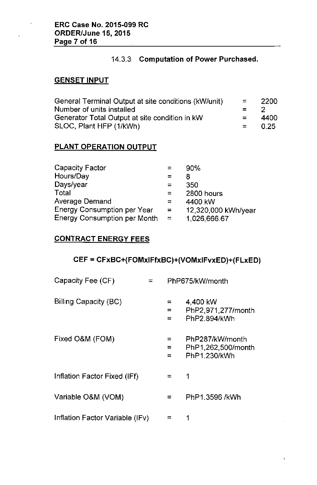# 14.3.3 Computation of Power Purchased.

## **GENSET INPUT**

| General Terminal Output at site conditions (kW/unit) | $\equiv$ | -2200 |
|------------------------------------------------------|----------|-------|
| Number of units installed                            | $= 2$    |       |
| Generator Total Output at site condition in kW       | $=$      | 4400  |
| SLOC, Plant HFP (1/kWh)                              | $= 0.25$ |       |

# PLANT OPERATION OUTPUT

| <b>Capacity Factor</b>              |          | 90%                 |
|-------------------------------------|----------|---------------------|
| Hours/Day                           | $=$      | 8                   |
| Days/year                           | ≂        | 350                 |
| Total                               | $=$      | 2800 hours          |
| Average Demand                      | $\equiv$ | 4400 kW             |
| <b>Energy Consumption per Year</b>  | $=$      | 12,320,000 kWh/year |
| <b>Energy Consumption per Month</b> | $\equiv$ | 1,026,666.67        |

# CONTRACT ENERGY FEES

# CEF = CFxBC+(FOMxIFfxBC)+(VOMxIFvxED)+(FLxED)

| Capacity Fee (CF)               | PhP675/kW/month |                                                       |
|---------------------------------|-----------------|-------------------------------------------------------|
| Billing Capacity (BC)           | ⋍<br>$=$<br>=   | 4,400 kW<br>PhP2,971,277/month<br>PhP2.894/kWh        |
| Fixed O&M (FOM)                 | =<br>$=$<br>=   | PhP287/kW/month<br>PhP1,262,500/month<br>PhP1.230/kWh |
| Inflation Factor Fixed (IFf)    | $=$             | 1                                                     |
| Variable O&M (VOM)              | $=$             | PhP1.3596 /kWh                                        |
| Inflation Factor Variable (IFv) |                 |                                                       |

 $\mathfrak{f}$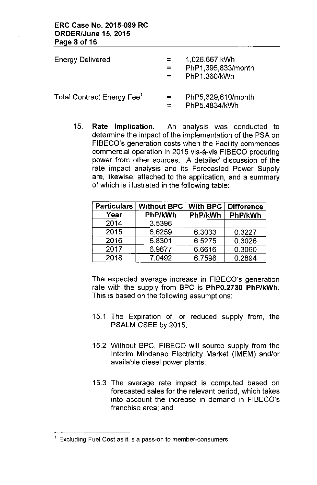| <b>Energy Delivered</b>                | $=$ $-$<br>$\equiv$ $\equiv$ | 1,026,667 kWh<br>PhP1,395,833/month<br>PhP1.360/kWh |
|----------------------------------------|------------------------------|-----------------------------------------------------|
| Total Contract Energy Fee <sup>1</sup> | $=$ $-$                      | PhP5,629,610/month<br>PhP5.4834/kWh                 |

15. Rate Implication. An analysis was conducted to determine the impact of the implementation of the PSA on FIBECO's generation costs when the Facility commences commercial operation in 2015 vis-a-vis FIBECO procuring power from other sources. A detailed discussion of the rate impact analysis and its Forecasted Power Supply are, likewise, attached to the application, and a summary of which is illustrated in the following table:

| <b>Particulars</b> | <b>Without BPC</b> | <b>With BPC</b> | <b>Difference</b> |
|--------------------|--------------------|-----------------|-------------------|
| Year               | PhP/kWh            | PhP/kWh         | PhP/kWh           |
| 2014               | 3.5396             |                 |                   |
| 2015               | 6.6259             | 6.3033          | 0.3227            |
| 2016               | 6.8301             | 6.5275          | 0.3026            |
| 2017               | 6.9677             | 6.6616          | 0.3060            |
| 2018               | 7.0492             | 6.7598          | 0.2894            |

The expected average increase in FIBECO's generation rate with the supply from BPC is PhPO.2730 PhP/kWh. This is based on the following assumptions:

- 15.1 The Expiration of, or reduced supply from, the PSALM CSEE by 2015;
- 15.2 Without BPC, FIBECO will source supply from the Interim Mindanao Electricity Market (IMEM) and/or available diesel power plants;
- 15.3 The average rate impact is computed based on forecasted sales for the relevant period, which takes into account the increase in demand in FIBECO's franchise area; and

 $<sup>1</sup>$  Excluding Fuel Cost as it is a pass-on to member-consumers</sup>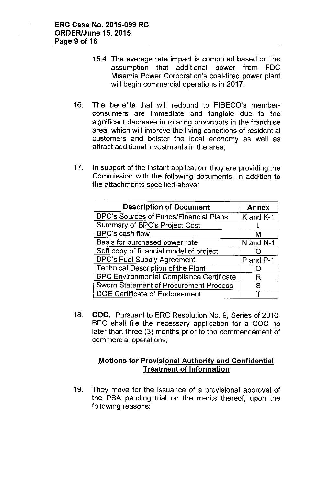- 15.4 The average rate impact is computed based on the assumption that additional power from FDC Misamis Power Corporation's coal-fired power plant will begin commercial operations in 2017;
- 16. The benefits that will redound to FIBECO's memberconsumers are immediate and tangible due to the significant decrease in rotating brownouts in the franchise area, which will improve the living conditions of residential customers and bolster the local economy as well as attract additional investments in the area;
- 17. In support of the instant application, they are providing the Commission with the following documents, in addition to the attachments specified above:

| <b>Description of Document</b>                  | <b>Annex</b> |
|-------------------------------------------------|--------------|
| BPC's Sources of Funds/Financial Plans          | K and K-1    |
| Summary of BPC's Project Cost                   |              |
| BPC's cash flow                                 | М            |
| Basis for purchased power rate                  | N and N-1    |
| Soft copy of financial model of project         |              |
| <b>BPC's Fuel Supply Agreement</b>              | P and P-1    |
| <b>Technical Description of the Plant</b>       | O            |
| <b>BPC Environmental Compliance Certificate</b> | R            |
| Sworn Statement of Procurement Process          | S            |
| DOE Certificate of Endorsement                  |              |

18. COC. Pursuant to ERC Resolution No. 9, Series of 2010, BPC shall file the necessary application for a COC no later than three (3) months prior to the commencement of commercial operations;

# Motions for Provisional Authority and Confidential Treatment of Information

19. They move for the issuance of a provisional approval of the PSA pending trial on the merits thereof, upon the following reasons: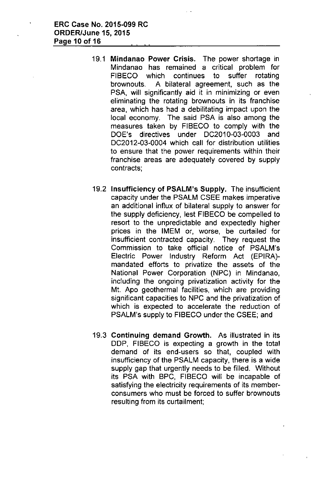- 19.1 Mindanao Power Crisis. The power shortage in Mindanao has remained a critical problem for FIBECO which continues to suffer rotating brownouts. A bilateral agreement, such as the PSA, will significantly aid it in minimizing or even eliminating the rotating brownouts in its franchise area, which has had a debilitating impact upon the local economy. The said PSA is also among the measures taken by FIBECO to comply with the DOE's directives under DC2010-03-0003 and DC2012-03-0004 which call for distribution utilities to ensure that the power requirements within their franchise areas are adequately covered by supply contracts;
- 19.2 Insufficiency of PSALM's Supply. The insufficient capacity under the PSALM CSEE makes imperative an additional influx of bilateral supply to answer for the supply deficiency, lest FIBECO be compelled to resort to the unpredictable and expectedly higher prices in the IMEM or, worse, be curtailed for insufficient contracted capacity. They request the Commission to take official notice of PSALM's Electric Power Industry Reform Act (EPIRA) mandated efforts to privatize the assets of the National Power Corporation (NPC) in Mindanao, including the ongoing privatization activity for the Mt. Apo geothermal facilities, which are providing significant capacities to NPC and the privatization of which is expected to accelerate the reduction of PSALM's supply to FIBECO under the CSEE; and
- 19.3 Continuing demand Growth. As illustrated in its DDP, FIBECO is expecting a growth in the total demand of its end-users so that, coupled with insufficiency of the PSALM capacity, there is a wide supply gap that urgently needs to be filled. Without its PSA with BPC, FIBECO will be incapable of satisfying the electricity requirements of its memberconsumers who must be forced to suffer brownouts resulting from its curtailment;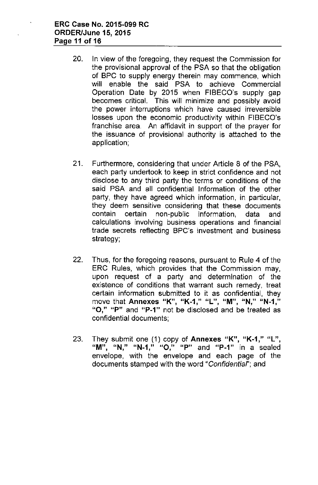- 20. In view of the foregoing, they request the Commission for the provisional approval of the PSA so that the obligation of BPC to supply energy therein may commence, which will enable the said PSA to achieve Commercial Operation Date by 2015 when FIBECO's supply gap becomes critical. This will minimize and possibly avoid the power interruptions which have caused irreversible losses upon the economic productivity within FIBECO's franchise area. An affidavit in support of the prayer for the issuance of provisional authority is attached to the application;
- 21. Furthermore, considering that under Article 8 of the PSA, each party undertook to keep in strict confidence and not disclose to any third party the terms or conditions of the said PSA and all confidential Information of the other party, they have agreed which information, in particular, they deem sensitive considering that these documents contain certain non-public information, data and calculations involving business operations and financial trade secrets reflecting BPC's investment and business strategy;
- 22. Thus, for the foregoing reasons, pursuant to Rule 4 of the ERC Rules, which provides that the Commission may, upon request of a party and determination of the existence of conditions that warrant such remedy, treat certain information submitted to it as confidential, they **move that Annexes UK", "K\_1," "L", "M", "N," "N\_1,"** "O," "P" and "P-1" not be disclosed and be treated as confidential documents;
- 23. They submit one (1) copy of Annexes "K", "K-1," "L", **"M"** " **"N" "N-1"**, **"0"**, **uP" and "P\_1" in a sealed** envelope, with the envelope and each page of the documents stamped with the word *"Confidenliaf';* and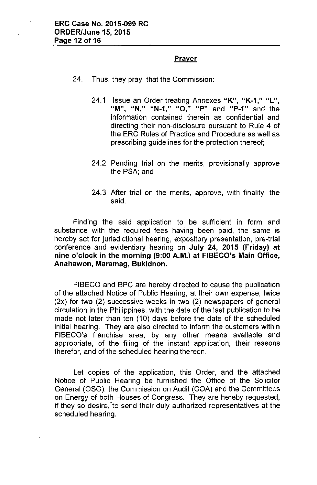### **Prayer**

- 24. Thus, they pray, that the Commission:
	- 24.1 Issue an Order treating Annexes "K", "K-1," "L", **"M", "N,"** "N~1,"**"0," uP" and "P-1" and the** information contained therein as confidential and directing their non-disclosure pursuant to Rule 4 of the ERC Rules of Practice and Procedure as well as prescribing guidelines for the protection thereof;
	- 24.2 Pending trial on the merits, provisionally approve the PSA; and
	- 24.3 After trial on the merits, approve, with finality, the said.

Finding the said application to be sufficient in form and substance with the required fees having been paid, the same is hereby set for jurisdictional hearing, expository presentation, pre-trial conference and evidentiary hearing on July 24, 2015 (Friday) at nine o'clock in the morning (9:00 A.M.) at FIBECO's Main Office, Anahawon, Maramag, Bukidnon.

FIBECO and BPC are hereby directed to cause the publication of the attached Notice of Public Hearing, at their own expense, twice (2x) for two (2) successive weeks in two (2) newspapers of general circulation in the Philippines, with the date of the last publication to be made not later than ten (10) days before the date of the scheduled initial hearing. They are also directed to inform the customers within FIBECO's franchise area, by any other means available and appropriate, of the filing of the instant application, their reasons therefor, and of the scheduled hearing thereon.

Let copies of the application, this Order, and the attached Notice of Public Hearing be furnished the Office of the Solicitor General (OSG), the Commission on Audit (COA) and the Committees on Energy of both Houses of Congress. They are hereby requested, if they so desire, 'to send their duly authorized representatives at the scheduled hearing.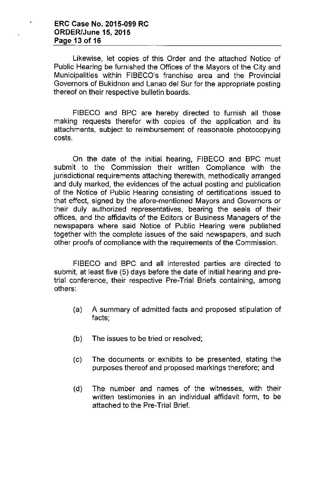Likewise, let copies of this Order and the attached Notice of Public Hearing be furnished the Offices of the Mayors of the City and Municipalities within FIBECO's franchise area and the Provincial Governors of Bukidnon and Lanao del Sur for the appropriate posting thereof on their respective bulletin boards.

FIBECO and BPC are hereby directed to furnish all those making requests therefor with copies of the application and its attachments, subject to reimbursement of reasonable photocopying costs.

On the date of the initial hearing, FIBECO and BPC must submit to the Commission their written Compliance with the jurisdictional requirements attaching therewith, methodically arranged and duly marked, the evidences of the actual posting and publication of the Notice of Public Hearing consisting of certifications issued to that effect, signed by the afore-mentioned Mayors and Governors or their duly authorized representatives, bearing the seals of their offices, and the affidavits of the Editors or Business Managers of the newspapers where said Notice of Public Hearing were published together with the complete issues of the said newspapers, and such other proofs of compliance with the requirements of the Commission.

FIBECO and BPC and all interested parties are directed to submit, at least five (5) days before the date of initial hearing and pretrial conference, their respective Pre-Trial Briefs containing, among others:

- (a) A summary of admitted facts and proposed stipulation of facts;
- (b) The issues to be tried or resolved;
- (c) The documents or exhibits to be presented, stating the purposes thereof and proposed markings therefore; and
- (d) The number and names of the witnesses, with their written testimonies **in** an individual affidavit form, to be attached to the Pre-Trial Brief.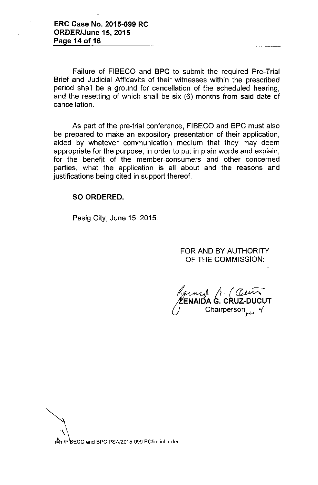Failure of FIBECO and BPC to submit the required Pre-Trial Brief and Judicial Affidavits of their witnesses within the prescribed period shall be a ground for cancellation of the scheduled hearing, and the resetting of which shall be six (6) months from said date of cancellation.

As part of the pre-trial conference, FIBECO and BPC must also be prepared to make an expository presentation of their application, aided by whatever communication medium that they may deem appropriate for the purpose, in order to put in plain words and explain, for the benefit of the member-consumers and other concerned parties, what the application is all about and the reasons and justifications being cited in support thereof.

#### SO ORDERED.

Pasig City, June 15, 2015.

FOR AND BY AUTHORITY OF THE COMMISSION:

*J*<sup>∉En</sup> *a*<br> **ENAIDA G. CRUZ-DUCUT**<br>
ENAIDA G. CRUZ-DUCUT Chairperson<sub>cted</sub> 4

nMm/FIBECO and BPC PSA/2015-099 RC/initial order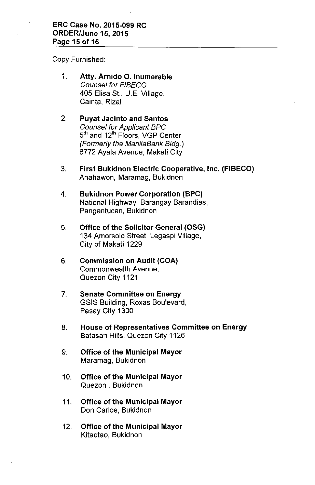Copy Furnished:

- 1. **Atty. Amido O. Inumerable** *Counsel for FIBECO* 405 Elisa St., U.E. Village, Cainta, Rizal
- 2. **Puyat Jacinto and Santos** *Counsel for Applicant BPC* standon of *ripplicalit Britannia*<br>5<sup>th</sup> and 12<sup>th</sup> Floors, VGP Cente *(Formerly the ManiiaBank Bldg.)* 6772 Ayala Avenue, Makati City
- 3. **First Bukidnon Electric Cooperative, Inc. (FIBECO)** Anahawon, Maramag, Bukidnon
- 4. **Bukidnon Power Corporation (BPC)** National Highway, Barangay Barandias, Pangantucan, Bukidnon
- 5. **Office of the Solicitor General (OSG)** 134 Amorsolo Street, Legaspi Village, City of Makati 1229
- 6. **Commission on Audit (COA)** Commonwealth Avenue, Quezon City 1121
- 7. **Senate Committee on Energy** GSIS Building, Roxas Boulevard, Pasay City 1300
- 8. **House of Representatives Committee on Energy** Batasan Hills, Quezon City 1126
- 9. **Office of the Municipal Mayor** Maramag, Bukidnon
- 10. **Office of the Municipal Mayor** Quezon, Bukidnon
- 11. **Office of the Municipal Mayor** Don Carlos, Bukidnon
- 12. **Office of the Municipal Mayor** Kitaotao, Bukidnon